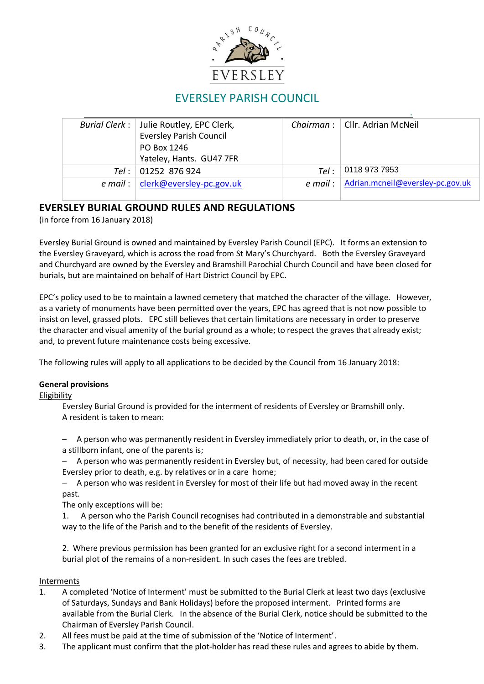

|       | Burial Clerk :   Julie Routley, EPC Clerk, |      | Chairman :   Cllr. Adrian McNeil         |
|-------|--------------------------------------------|------|------------------------------------------|
|       | <b>Eversley Parish Council</b>             |      |                                          |
|       | PO Box 1246                                |      |                                          |
|       | Yateley, Hants. GU47 7FR                   |      |                                          |
| Tel : | 01252 876 924                              | Tel: | 0118 973 7953                            |
|       | $e$ mail: $\vert$ clerk@eversley-pc.gov.uk |      | e mail: Adrian.mcneil@eversley-pc.gov.uk |
|       |                                            |      |                                          |

# **EVERSLEY BURIAL GROUND RULES AND REGULATIONS**

(in force from 16 January 2018)

Eversley Burial Ground is owned and maintained by Eversley Parish Council (EPC). It forms an extension to the Eversley Graveyard, which is across the road from St Mary's Churchyard. Both the Eversley Graveyard and Churchyard are owned by the Eversley and Bramshill Parochial Church Council and have been closed for burials, but are maintained on behalf of Hart District Council by EPC.

EPC's policy used to be to maintain a lawned cemetery that matched the character of the village. However, as a variety of monuments have been permitted over the years, EPC has agreed that is not now possible to insist on level, grassed plots. EPC still believes that certain limitations are necessary in order to preserve the character and visual amenity of the burial ground as a whole; to respect the graves that already exist; and, to prevent future maintenance costs being excessive.

The following rules will apply to all applications to be decided by the Council from 16 January 2018:

### **General provisions**

Eligibility

Eversley Burial Ground is provided for the interment of residents of Eversley or Bramshill only. A resident is taken to mean:

– A person who was permanently resident in Eversley immediately prior to death, or, in the case of a stillborn infant, one of the parents is;

– A person who was permanently resident in Eversley but, of necessity, had been cared for outside Eversley prior to death, e.g. by relatives or in a care home;

– A person who was resident in Eversley for most of their life but had moved away in the recent past.

The only exceptions will be:

1. A person who the Parish Council recognises had contributed in a demonstrable and substantial way to the life of the Parish and to the benefit of the residents of Eversley.

2. Where previous permission has been granted for an exclusive right for a second interment in a burial plot of the remains of a non-resident. In such cases the fees are trebled.

### Interments

- 1. A completed 'Notice of Interment' must be submitted to the Burial Clerk at least two days (exclusive of Saturdays, Sundays and Bank Holidays) before the proposed interment. Printed forms are available from the Burial Clerk. In the absence of the Burial Clerk, notice should be submitted to the Chairman of Eversley Parish Council.
- 2. All fees must be paid at the time of submission of the 'Notice of Interment'.
- 3. The applicant must confirm that the plot-holder has read these rules and agrees to abide by them.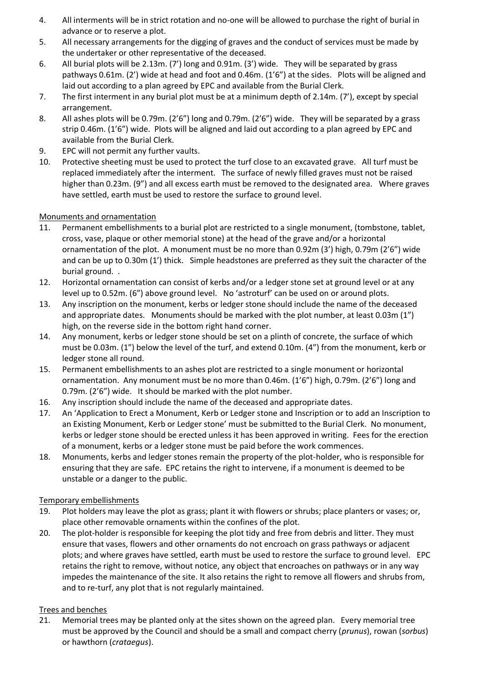- 4. All interments will be in strict rotation and no-one will be allowed to purchase the right of burial in advance or to reserve a plot.
- 5. All necessary arrangements for the digging of graves and the conduct of services must be made by the undertaker or other representative of the deceased.
- 6. All burial plots will be 2.13m. (7') long and 0.91m. (3') wide. They will be separated by grass pathways 0.61m. (2') wide at head and foot and 0.46m. (1'6") at the sides. Plots will be aligned and laid out according to a plan agreed by EPC and available from the Burial Clerk.
- 7. The first interment in any burial plot must be at a minimum depth of 2.14m. (7'), except by special arrangement.
- 8. All ashes plots will be 0.79m. (2'6") long and 0.79m. (2'6") wide. They will be separated by a grass strip 0.46m. (1'6") wide. Plots will be aligned and laid out according to a plan agreed by EPC and available from the Burial Clerk.
- 9. EPC will not permit any further vaults.
- 10. Protective sheeting must be used to protect the turf close to an excavated grave. All turf must be replaced immediately after the interment. The surface of newly filled graves must not be raised higher than 0.23m. (9") and all excess earth must be removed to the designated area. Where graves have settled, earth must be used to restore the surface to ground level.

### Monuments and ornamentation

- 11. Permanent embellishments to a burial plot are restricted to a single monument, (tombstone, tablet, cross, vase, plaque or other memorial stone) at the head of the grave and/or a horizontal ornamentation of the plot. A monument must be no more than 0.92m (3') high, 0.79m (2'6") wide and can be up to 0.30m (1') thick. Simple headstones are preferred as they suit the character of the burial ground. .
- 12. Horizontal ornamentation can consist of kerbs and/or a ledger stone set at ground level or at any level up to 0.52m. (6") above ground level. No 'astroturf' can be used on or around plots.
- 13. Any inscription on the monument, kerbs or ledger stone should include the name of the deceased and appropriate dates. Monuments should be marked with the plot number, at least 0.03m (1") high, on the reverse side in the bottom right hand corner.
- 14. Any monument, kerbs or ledger stone should be set on a plinth of concrete, the surface of which must be 0.03m. (1") below the level of the turf, and extend 0.10m. (4") from the monument, kerb or ledger stone all round.
- 15. Permanent embellishments to an ashes plot are restricted to a single monument or horizontal ornamentation. Any monument must be no more than 0.46m. (1'6") high, 0.79m. (2'6") long and 0.79m. (2'6") wide. It should be marked with the plot number.
- 16. Any inscription should include the name of the deceased and appropriate dates.
- 17. An 'Application to Erect a Monument, Kerb or Ledger stone and Inscription or to add an Inscription to an Existing Monument, Kerb or Ledger stone' must be submitted to the Burial Clerk. No monument, kerbs or ledger stone should be erected unless it has been approved in writing. Fees for the erection of a monument, kerbs or a ledger stone must be paid before the work commences.
- 18. Monuments, kerbs and ledger stones remain the property of the plot-holder, who is responsible for ensuring that they are safe. EPC retains the right to intervene, if a monument is deemed to be unstable or a danger to the public.

### Temporary embellishments

- 19. Plot holders may leave the plot as grass; plant it with flowers or shrubs; place planters or vases; or, place other removable ornaments within the confines of the plot.
- 20. The plot-holder is responsible for keeping the plot tidy and free from debris and litter. They must ensure that vases, flowers and other ornaments do not encroach on grass pathways or adjacent plots; and where graves have settled, earth must be used to restore the surface to ground level. EPC retains the right to remove, without notice, any object that encroaches on pathways or in any way impedes the maintenance of the site. It also retains the right to remove all flowers and shrubs from, and to re-turf, any plot that is not regularly maintained.

### Trees and benches

21. Memorial trees may be planted only at the sites shown on the agreed plan. Every memorial tree must be approved by the Council and should be a small and compact cherry (*prunus*), rowan (*sorbus*) or hawthorn (*crataegus*).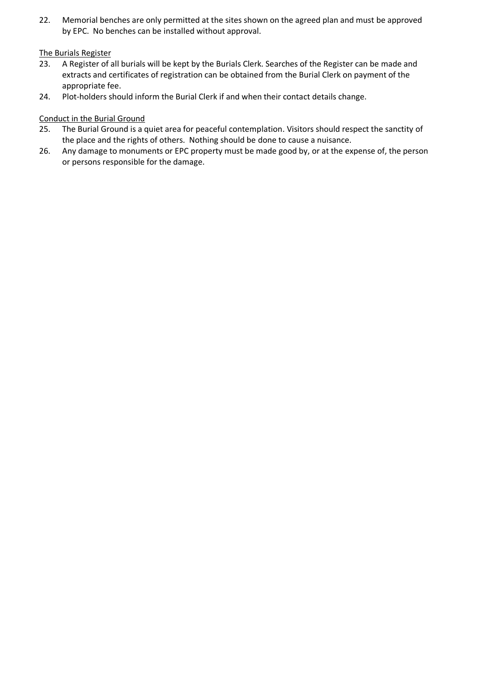22. Memorial benches are only permitted at the sites shown on the agreed plan and must be approved by EPC. No benches can be installed without approval.

### The Burials Register

- 23. A Register of all burials will be kept by the Burials Clerk. Searches of the Register can be made and extracts and certificates of registration can be obtained from the Burial Clerk on payment of the appropriate fee.
- 24. Plot-holders should inform the Burial Clerk if and when their contact details change.

### Conduct in the Burial Ground

- 25. The Burial Ground is a quiet area for peaceful contemplation. Visitors should respect the sanctity of the place and the rights of others. Nothing should be done to cause a nuisance.
- 26. Any damage to monuments or EPC property must be made good by, or at the expense of, the person or persons responsible for the damage.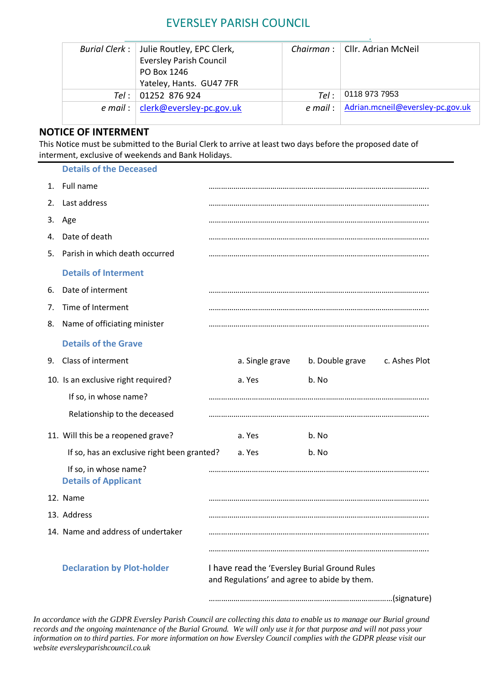|       | Burial Clerk :   Julie Routley, EPC Clerk, |            | Chairman:   Cllr. Adrian McNeil  |
|-------|--------------------------------------------|------------|----------------------------------|
|       | <b>Eversley Parish Council</b>             |            |                                  |
|       | PO Box 1246                                |            |                                  |
|       | Yateley, Hants. GU47 7FR                   |            |                                  |
| Tel : | 01252 876 924                              | Tel:       | 0118 973 7953                    |
|       | e mail:   clerk@eversley-pc.gov.uk         | $e$ mail : | Adrian.mcneil@eversley-pc.gov.uk |

# **NOTICE OF INTERMENT**

This Notice must be submitted to the Burial Clerk to arrive at least two days before the proposed date of interment, exclusive of weekends and Bank Holidays.

|    | <b>Details of the Deceased</b>                       |  |                                              |                                               |  |  |  |
|----|------------------------------------------------------|--|----------------------------------------------|-----------------------------------------------|--|--|--|
|    | 1. Full name                                         |  |                                              |                                               |  |  |  |
|    | 2. Last address                                      |  |                                              |                                               |  |  |  |
|    | 3. Age                                               |  |                                              |                                               |  |  |  |
|    | 4. Date of death                                     |  |                                              |                                               |  |  |  |
|    | 5. Parish in which death occurred                    |  |                                              |                                               |  |  |  |
|    | <b>Details of Interment</b>                          |  |                                              |                                               |  |  |  |
| 6. | Date of interment                                    |  |                                              |                                               |  |  |  |
| 7. | Time of Interment                                    |  |                                              |                                               |  |  |  |
| 8. | Name of officiating minister                         |  |                                              |                                               |  |  |  |
|    | <b>Details of the Grave</b>                          |  |                                              |                                               |  |  |  |
|    | 9. Class of interment                                |  | a. Single grave                              | b. Double grave c. Ashes Plot                 |  |  |  |
|    | 10. Is an exclusive right required?                  |  | a. Yes                                       | b. No                                         |  |  |  |
|    | If so, in whose name?                                |  |                                              |                                               |  |  |  |
|    | Relationship to the deceased                         |  |                                              |                                               |  |  |  |
|    | 11. Will this be a reopened grave?                   |  | a. Yes                                       | b. No                                         |  |  |  |
|    | If so, has an exclusive right been granted?          |  | a. Yes                                       | b. No                                         |  |  |  |
|    | If so, in whose name?<br><b>Details of Applicant</b> |  |                                              |                                               |  |  |  |
|    | 12. Name                                             |  |                                              |                                               |  |  |  |
|    | 13. Address                                          |  |                                              |                                               |  |  |  |
|    | 14. Name and address of undertaker                   |  |                                              |                                               |  |  |  |
|    |                                                      |  |                                              |                                               |  |  |  |
|    | <b>Declaration by Plot-holder</b>                    |  | and Regulations' and agree to abide by them. | I have read the 'Eversley Burial Ground Rules |  |  |  |
|    |                                                      |  |                                              |                                               |  |  |  |

*In accordance with the GDPR Eversley Parish Council are collecting this data to enable us to manage our Burial ground records and the ongoing maintenance of the Burial Ground. We will only use it for that purpose and will not pass your information on to third parties. For more information on how Eversley Council complies with the GDPR please visit our website eversleyparishcouncil.co.uk*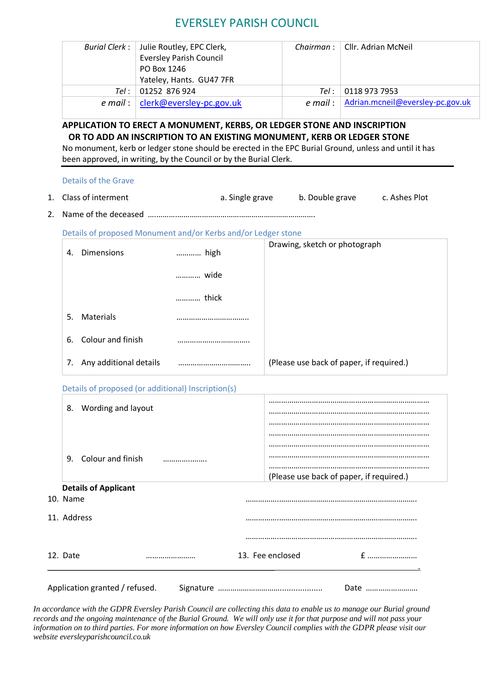| Burial Clerk :   Julie Routley, EPC Clerk, |      | Chairman :   Cllr. Adrian McNeil           |
|--------------------------------------------|------|--------------------------------------------|
| <b>Eversley Parish Council</b>             |      |                                            |
| PO Box 1246                                |      |                                            |
| Yateley, Hants. GU47 7FR                   |      |                                            |
| Tel: 01252 876924                          | Tel: | 0118 973 7953                              |
| e mail:   clerk@eversley-pc.gov.uk         |      | e mail:   Adrian.mcneil@eversley-pc.gov.uk |

## **APPLICATION TO ERECT A MONUMENT, KERBS, OR LEDGER STONE AND INSCRIPTION OR TO ADD AN INSCRIPTION TO AN EXISTING MONUMENT, KERB OR LEDGER STONE**

No monument, kerb or ledger stone should be erected in the EPC Burial Ground, unless and until it has been approved, in writing, by the Council or by the Burial Clerk.

#### Details of the Grave

- 1. Class of interment a. Single grave b. Double grave c. Ashes Plot
- 2. Name of the deceased ….……….………………………………………………………….

#### Details of proposed Monument and/or Kerbs and/or Ledger stone

| 4.  | <b>Dimensions</b>      | high  | Drawing, sketch or photograph            |
|-----|------------------------|-------|------------------------------------------|
|     |                        | wide  |                                          |
|     |                        | thick |                                          |
| .5. | Materials              |       |                                          |
| 6.  | Colour and finish      |       |                                          |
| 7.  | Any additional details |       | (Please use back of paper, if required.) |

#### Details of proposed (or additional) Inscription(s)

| 8.          | Wording and layout             |  |                                          |      |  |
|-------------|--------------------------------|--|------------------------------------------|------|--|
|             |                                |  |                                          |      |  |
|             |                                |  |                                          |      |  |
|             |                                |  |                                          |      |  |
| 9.          | Colour and finish              |  |                                          |      |  |
|             |                                |  |                                          |      |  |
|             |                                |  | (Please use back of paper, if required.) |      |  |
|             | <b>Details of Applicant</b>    |  |                                          |      |  |
| 10. Name    |                                |  |                                          |      |  |
|             |                                |  |                                          |      |  |
| 11. Address |                                |  |                                          |      |  |
|             |                                |  |                                          |      |  |
|             |                                |  |                                          |      |  |
| 12. Date    |                                |  | 13. Fee enclosed                         |      |  |
|             | Application granted / refused. |  |                                          | Date |  |

*In accordance with the GDPR Eversley Parish Council are collecting this data to enable us to manage our Burial ground records and the ongoing maintenance of the Burial Ground. We will only use it for that purpose and will not pass your information on to third parties. For more information on how Eversley Council complies with the GDPR please visit our website eversleyparishcouncil.co.uk*